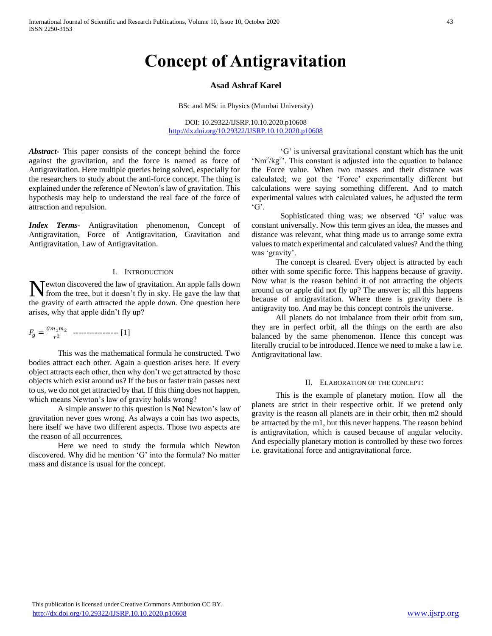# **Concept of Antigravitation**

# **Asad Ashraf Karel**

BSc and MSc in Physics (Mumbai University)

DOI: 10.29322/IJSRP.10.10.2020.p10608 <http://dx.doi.org/10.29322/IJSRP.10.10.2020.p10608>

*Abstract***-** This paper consists of the concept behind the force against the gravitation, and the force is named as force of Antigravitation. Here multiple queries being solved, especially for the researchers to study about the anti-force concept. The thing is explained under the reference of Newton's law of gravitation. This hypothesis may help to understand the real face of the force of attraction and repulsion.

*Index Terms*- Antigravitation phenomenon, Concept of Antigravitation, Force of Antigravitation, Gravitation and Antigravitation, Law of Antigravitation.

# I. INTRODUCTION

Newton discovered the law of gravitation. An apple falls down<br>from the tree, but it doesn't fly in sky. He gave the law that from the tree, but it doesn't fly in sky. He gave the law that the gravity of earth attracted the apple down. One question here arises, why that apple didn't fly up?

$$
F_g = \frac{Gm_1m_2}{r^2} \quad \dots \dots \dots \dots \dots \dots \dots \quad [1]
$$

This was the mathematical formula he constructed. Two bodies attract each other. Again a question arises here. If every object attracts each other, then why don't we get attracted by those objects which exist around us? If the bus or faster train passes next to us, we do not get attracted by that. If this thing does not happen, which means Newton's law of gravity holds wrong?

A simple answer to this question is **No!** Newton's law of gravitation never goes wrong. As always a coin has two aspects, here itself we have two different aspects. Those two aspects are the reason of all occurrences.

Here we need to study the formula which Newton discovered. Why did he mention 'G' into the formula? No matter mass and distance is usual for the concept.

'G' is universal gravitational constant which has the unit  $\text{Nm}^2/\text{kg}^2$ . This constant is adjusted into the equation to balance the Force value. When two masses and their distance was calculated; we got the 'Force' experimentally different but calculations were saying something different. And to match experimental values with calculated values, he adjusted the term 'G'.

Sophisticated thing was; we observed 'G' value was constant universally. Now this term gives an idea, the masses and distance was relevant, what thing made us to arrange some extra values to match experimental and calculated values? And the thing was 'gravity'.

 The concept is cleared. Every object is attracted by each other with some specific force. This happens because of gravity. Now what is the reason behind it of not attracting the objects around us or apple did not fly up? The answer is; all this happens because of antigravitation. Where there is gravity there is antigravity too. And may be this concept controls the universe.

 All planets do not imbalance from their orbit from sun, they are in perfect orbit, all the things on the earth are also balanced by the same phenomenon. Hence this concept was literally crucial to be introduced. Hence we need to make a law i.e. Antigravitational law.

# II. ELABORATION OF THE CONCEPT:

 This is the example of planetary motion. How all the planets are strict in their respective orbit. If we pretend only gravity is the reason all planets are in their orbit, then m2 should be attracted by the m1, but this never happens. The reason behind is antigravitation, which is caused because of angular velocity. And especially planetary motion is controlled by these two forces i.e. gravitational force and antigravitational force.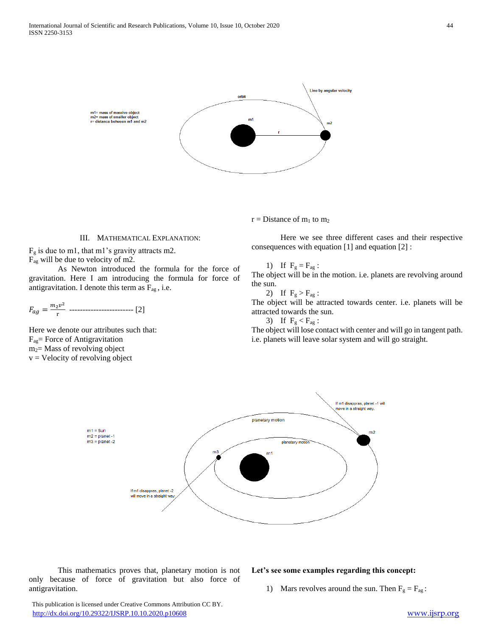

# III. MATHEMATICAL EXPLANATION:

 $F<sub>g</sub>$  is due to m1, that m1's gravity attracts m2.

Fag will be due to velocity of m2.

As Newton introduced the formula for the force of gravitation. Here I am introducing the formula for force of antigravitation. I denote this term as  $F_{ag}$ , i.e.

$$
F_{ag} = \frac{m_2 v^2}{r} \ \cdots \ \cdots \ \cdots \ \cdots \ \cdots \ \cdots \ \ [2]
$$

Here we denote our attributes such that: Fag= Force of Antigravitation m2= Mass of revolving object  $v =$  Velocity of revolving object

Here we see three different cases and their respective consequences with equation [1] and equation [2] :

1) If 
$$
F_g = F_{ag}
$$
:

 $r = Distance of m<sub>1</sub> to m<sub>2</sub>$ 

The object will be in the motion. i.e. planets are revolving around the sun.

2) If  $F_g > F_{ag}$ :

The object will be attracted towards center. i.e. planets will be attracted towards the sun.

3) If  $F_g < F_{ag}$ :

The object will lose contact with center and will go in tangent path. i.e. planets will leave solar system and will go straight.

**Let's see some examples regarding this concept:**



This mathematics proves that, planetary motion is not only because of force of gravitation but also force of antigravitation.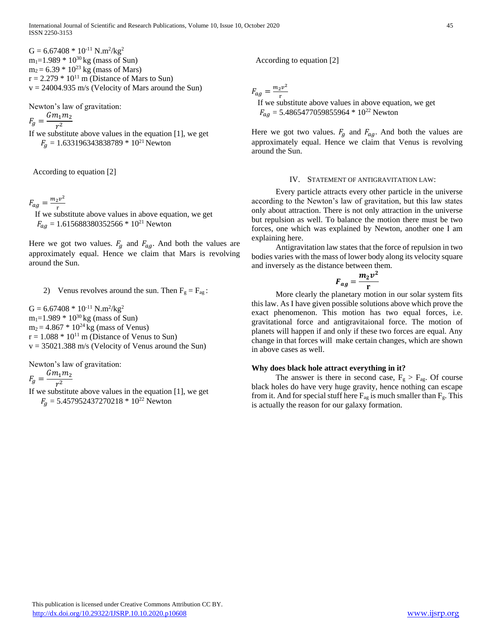$G = 6.67408 * 10^{-11}$  N.m<sup>2</sup>/kg<sup>2</sup>  $m_1$ =1.989  $*$  10<sup>30</sup> kg (mass of Sun)  $m_2$  = 6.39  $*$  10<sup>23</sup> kg (mass of Mars)  $r = 2.279 * 10<sup>11</sup>$  m (Distance of Mars to Sun)  $v = 24004.935$  m/s (Velocity of Mars around the Sun)

Newton's law of gravitation:

 $F_g = \frac{Gm_1m_2}{r^2}$  $r^2$ If we substitute above values in the equation [1], we get  $F_q = 1.633196343838789 * 10^{21}$  Newton

According to equation [2]

 $F_{ag} = \frac{m_2 v^2}{r}$  $\frac{2V}{r}$  If we substitute above values in above equation, we get  $F_{aa} = 1.615688380352566 * 10^{21}$  Newton

Here we got two values.  $F_g$  and  $F_{ag}$ . And both the values are approximately equal. Hence we claim that Mars is revolving around the Sun.

2) Venus revolves around the sun. Then  $F_g = F_{ag}$ :

 $G = 6.67408 * 10^{-11}$  N.m<sup>2</sup>/kg<sup>2</sup>  $m_1 = 1.989 * 10^{30}$  kg (mass of Sun)  $m_2 = 4.867 * 10^{24}$  kg (mass of Venus)  $r = 1.088 * 10^{11}$  m (Distance of Venus to Sun)  $v = 35021.388$  m/s (Velocity of Venus around the Sun)

Newton's law of gravitation:

$$
F_g = \frac{Gm_1m_2}{r^2}
$$

$$
r_g - r^2
$$

If we substitute above values in the equation [1], we get  $F<sub>g</sub> = 5.457952437270218 * 10^{22}$  Newton

According to equation [2]

 $F_{ag} = \frac{m_2 v^2}{r}$  $\frac{2V}{r}$  If we substitute above values in above equation, we get  $F_{ag}$  = 5.4865477059855964  $*$  10<sup>22</sup> Newton

Here we got two values.  $F_g$  and  $F_{ag}$ . And both the values are approximately equal. Hence we claim that Venus is revolving around the Sun.

#### IV. STATEMENT OF ANTIGRAVITATION LAW:

 Every particle attracts every other particle in the universe according to the Newton's law of gravitation, but this law states only about attraction. There is not only attraction in the universe but repulsion as well. To balance the motion there must be two forces, one which was explained by Newton, another one I am explaining here.

 Antigravitation law states that the force of repulsion in two bodies varies with the mass of lower body along its velocity square and inversely as the distance between them.

2

$$
F_{ag}=\frac{m_2v}{r}
$$

 More clearly the planetary motion in our solar system fits this law. As I have given possible solutions above which prove the exact phenomenon. This motion has two equal forces, i.e. gravitational force and antigravitaional force. The motion of planets will happen if and only if these two forces are equal. Any change in that forces will make certain changes, which are shown in above cases as well.

# **Why does black hole attract everything in it?**

The answer is there in second case,  $F_g > F_{ag}$ . Of course black holes do have very huge gravity, hence nothing can escape from it. And for special stuff here  $F_{ag}$  is much smaller than  $F_g$ . This is actually the reason for our galaxy formation.